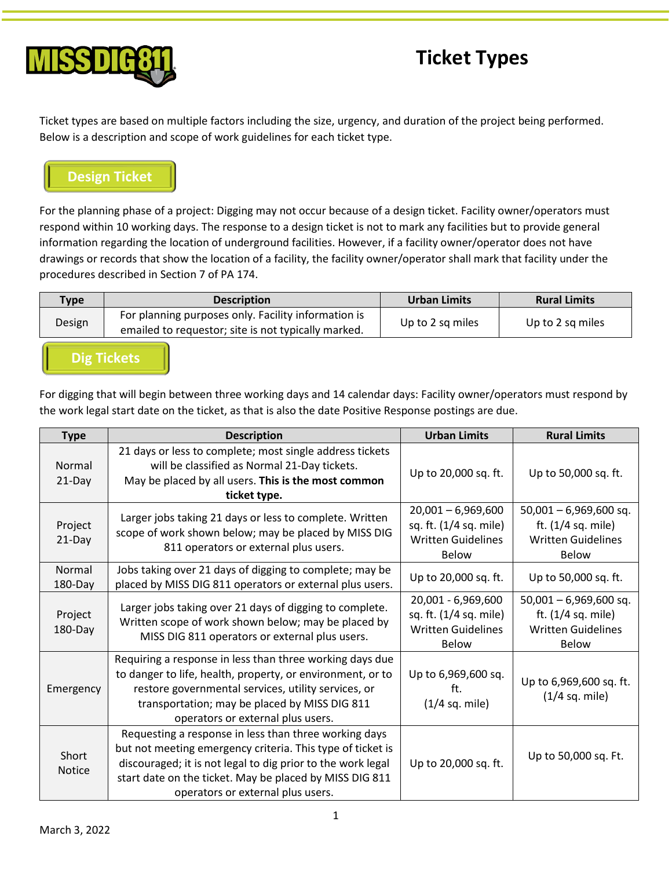



Ticket types are based on multiple factors including the size, urgency, and duration of the project being performed. Below is a description and scope of work guidelines for each ticket type.

## **Design Ticket**

For the planning phase of a project: Digging may not occur because of a design ticket. Facility owner/operators must respond within 10 working days. The response to a design ticket is not to mark any facilities but to provide general information regarding the location of underground facilities. However, if a facility owner/operator does not have drawings or records that show the location of a facility, the facility owner/operator shall mark that facility under the procedures described in Section 7 of PA 174.

| Type   | <b>Description</b>                                                                                         | Urban Limits     | <b>Rural Limits</b> |
|--------|------------------------------------------------------------------------------------------------------------|------------------|---------------------|
| Design | For planning purposes only. Facility information is<br>emailed to requestor; site is not typically marked. | Up to 2 sq miles | Up to 2 sq miles    |

**Dig Tickets**

For digging that will begin between three working days and 14 calendar days: Facility owner/operators must respond by the work legal start date on the ticket, as that is also the date Positive Response postings are due.

| <b>Type</b>            | <b>Description</b>                                                                                                                                                                                                                                                                 | <b>Urban Limits</b>                                                                         | <b>Rural Limits</b>                                                                           |
|------------------------|------------------------------------------------------------------------------------------------------------------------------------------------------------------------------------------------------------------------------------------------------------------------------------|---------------------------------------------------------------------------------------------|-----------------------------------------------------------------------------------------------|
| Normal<br>21-Day       | 21 days or less to complete; most single address tickets<br>will be classified as Normal 21-Day tickets.<br>May be placed by all users. This is the most common<br>ticket type.                                                                                                    | Up to 20,000 sq. ft.                                                                        | Up to 50,000 sq. ft.                                                                          |
| Project<br>21-Day      | Larger jobs taking 21 days or less to complete. Written<br>scope of work shown below; may be placed by MISS DIG<br>811 operators or external plus users.                                                                                                                           | $20,001 - 6,969,600$<br>sq. ft. (1/4 sq. mile)<br><b>Written Guidelines</b><br><b>Below</b> | $50,001 - 6,969,600$ sq.<br>ft. (1/4 sq. mile)<br><b>Written Guidelines</b><br><b>Below</b>   |
| Normal<br>$180$ -Day   | Jobs taking over 21 days of digging to complete; may be<br>placed by MISS DIG 811 operators or external plus users.                                                                                                                                                                | Up to 20,000 sq. ft.                                                                        | Up to 50,000 sq. ft.                                                                          |
| Project<br>180-Day     | Larger jobs taking over 21 days of digging to complete.<br>Written scope of work shown below; may be placed by<br>MISS DIG 811 operators or external plus users.                                                                                                                   | 20,001 - 6,969,600<br>sq. ft. (1/4 sq. mile)<br><b>Written Guidelines</b><br><b>Below</b>   | $50,001 - 6,969,600$ sq.<br>ft. $(1/4$ sq. mile)<br><b>Written Guidelines</b><br><b>Below</b> |
| Emergency              | Requiring a response in less than three working days due<br>to danger to life, health, property, or environment, or to<br>restore governmental services, utility services, or<br>transportation; may be placed by MISS DIG 811<br>operators or external plus users.                | Up to 6,969,600 sq.<br>ft.<br>(1/4 sq. mile)                                                | Up to 6,969,600 sq. ft.<br>$(1/4$ sq. mile)                                                   |
| Short<br><b>Notice</b> | Requesting a response in less than three working days<br>but not meeting emergency criteria. This type of ticket is<br>discouraged; it is not legal to dig prior to the work legal<br>start date on the ticket. May be placed by MISS DIG 811<br>operators or external plus users. | Up to 20,000 sq. ft.                                                                        | Up to 50,000 sq. Ft.                                                                          |